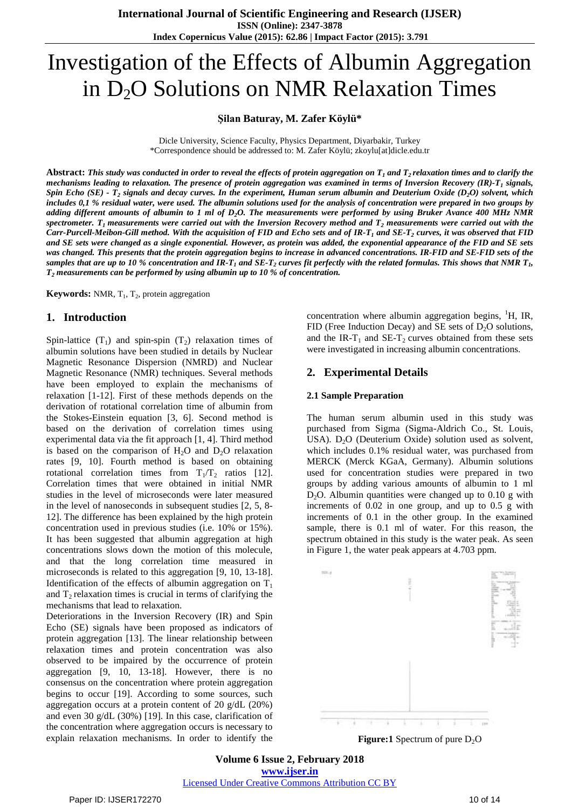# Investigation of the Effects of Albumin Aggregation in  $D_2O$  Solutions on NMR Relaxation Times

#### **Şilan Baturay, M. Zafer Köylü\***

Dicle University, Science Faculty, Physics Department, Diyarbakir, Turkey \*Correspondence should be addressed to: M. Zafer Köylü; zkoylu[at]dicle.edu.tr

Abstract: This study was conducted in order to reveal the effects of protein aggregation on  $T_1$  and  $T_2$  relaxation times and to clarify the mechanisms leading to relaxation. The presence of protein aggregation was examined in terms of Inversion Recovery (IR)- $T_1$  signals, Spin Echo (SE) -  $T_2$  signals and decay curves. In the experiment, Human serum albumin and Deuterium Oxide (D<sub>2</sub>O) solvent, which includes 0,1 % residual water, were used. The albumin solutions used for the analysis of concentration were prepared in two groups by adding different amounts of albumin to 1 ml of D<sub>2</sub>O. The measurements were performed by using Bruker Avance 400 MHz NMR spectrometer.  $T_1$  measurements were carried out with the Inversion Recovery method and  $T_2$  measurements were carried out with the Carr-Purcell-Meibon-Gill method. With the acquisition of FID and Echo sets and of IR-T<sub>1</sub> and SE-T<sub>2</sub> curves, it was observed that FID and SE sets were changed as a single exponential. However, as protein was added, the exponential appearance of the FID and SE sets was changed. This presents that the protein aggregation begins to increase in advanced concentrations. IR-FID and SE-FID sets of the samples that are up to 10 % concentration and IR-T<sub>1</sub> and SE-T<sub>2</sub> curves fit perfectly with the related formulas. This shows that NMR T<sub>b</sub> *T<sup>2</sup> measurements can be performed by using albumin up to 10 % of concentration.*

Keywords: NMR, T<sub>1</sub>, T<sub>2</sub>, protein aggregation

## **1. Introduction**

Spin-lattice  $(T_1)$  and spin-spin  $(T_2)$  relaxation times of albumin solutions have been studied in details by Nuclear Magnetic Resonance Dispersion (NMRD) and Nuclear Magnetic Resonance (NMR) techniques. Several methods have been employed to explain the mechanisms of relaxation [1-12]. First of these methods depends on the derivation of rotational correlation time of albumin from the Stokes-Einstein equation [3, 6]. Second method is based on the derivation of correlation times using experimental data via the fit approach [1, 4]. Third method is based on the comparison of  $H_2O$  and  $D_2O$  relaxation rates [9, 10]. Fourth method is based on obtaining rotational correlation times from  $T_1/T_2$  ratios [12]. Correlation times that were obtained in initial NMR studies in the level of microseconds were later measured in the level of nanoseconds in subsequent studies [2, 5, 8- 12]. The difference has been explained by the high protein concentration used in previous studies (i.e. 10% or 15%). It has been suggested that albumin aggregation at high concentrations slows down the motion of this molecule, and that the long correlation time measured in microseconds is related to this aggregation [9, 10, 13-18]. Identification of the effects of albumin aggregation on  $T_1$ and  $T<sub>2</sub>$  relaxation times is crucial in terms of clarifying the mechanisms that lead to relaxation.

Deteriorations in the Inversion Recovery (IR) and Spin Echo (SE) signals have been proposed as indicators of protein aggregation [13]. The linear relationship between relaxation times and protein concentration was also observed to be impaired by the occurrence of protein aggregation [9, 10, 13-18]. However, there is no consensus on the concentration where protein aggregation begins to occur [19]. According to some sources, such aggregation occurs at a protein content of 20 g/dL (20%) and even 30 g/dL (30%) [19]. In this case, clarification of the concentration where aggregation occurs is necessary to explain relaxation mechanisms. In order to identify the

concentration where albumin aggregation begins,  $H$ , IR, FID (Free Induction Decay) and SE sets of  $D_2O$  solutions, and the IR-T<sub>1</sub> and SE-T<sub>2</sub> curves obtained from these sets were investigated in increasing albumin concentrations.

## **2. Experimental Details**

#### **2.1 Sample Preparation**

The human serum albumin used in this study was purchased from Sigma (Sigma-Aldrich Co., St. Louis, USA).  $D_2O$  (Deuterium Oxide) solution used as solvent, which includes 0.1% residual water, was purchased from MERCK (Merck KGaA, Germany). Albumin solutions used for concentration studies were prepared in two groups by adding various amounts of albumin to 1 ml  $D_2O$ . Albumin quantities were changed up to 0.10 g with increments of 0.02 in one group, and up to 0.5 g with increments of 0.1 in the other group. In the examined sample, there is 0.1 ml of water. For this reason, the spectrum obtained in this study is the water peak. As seen in Figure 1, the water peak appears at 4.703 ppm.



**Figure:1** Spectrum of pure D<sub>2</sub>O

**Volume 6 Issue 2, February 2018 <www.ijser.in>** [Licensed Under Creative Commons Attribution CC BY](http://creativecommons.org/licenses/by/4.0/)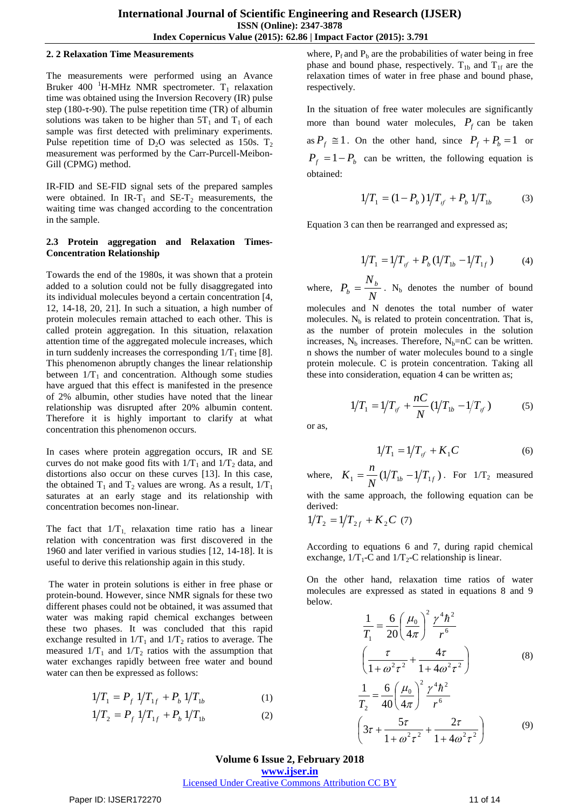#### **2. 2 Relaxation Time Measurements**

The measurements were performed using an Avance Bruker 400 <sup>1</sup>H-MHz NMR spectrometer.  $T_1$  relaxation time was obtained using the Inversion Recovery (IR) pulse step (180-τ-90). The pulse repetition time (TR) of albumin solutions was taken to be higher than  $5T_1$  and  $T_1$  of each sample was first detected with preliminary experiments. Pulse repetition time of  $D_2O$  was selected as 150s.  $T_2$ measurement was performed by the Carr-Purcell-Meibon-Gill (CPMG) method.

IR-FID and SE-FID signal sets of the prepared samples were obtained. In IR-T<sub>1</sub> and SE-T<sub>2</sub> measurements, the waiting time was changed according to the concentration in the sample.

#### **2.3 Protein aggregation and Relaxation Times-Concentration Relationship**

Towards the end of the 1980s, it was shown that a protein added to a solution could not be fully disaggregated into its individual molecules beyond a certain concentration [4, 12, 14-18, 20, 21]. In such a situation, a high number of protein molecules remain attached to each other. This is called protein aggregation. In this situation, relaxation attention time of the aggregated molecule increases, which in turn suddenly increases the corresponding  $1/T_1$  time [8]. This phenomenon abruptly changes the linear relationship between  $1/T_1$  and concentration. Although some studies have argued that this effect is manifested in the presence of 2% albumin, other studies have noted that the linear relationship was disrupted after 20% albumin content. Therefore it is highly important to clarify at what concentration this phenomenon occurs.

In cases where protein aggregation occurs, IR and SE curves do not make good fits with  $1/T_1$  and  $1/T_2$  data, and distortions also occur on these curves [13]. In this case, the obtained  $T_1$  and  $T_2$  values are wrong. As a result,  $1/T_1$ saturates at an early stage and its relationship with concentration becomes non-linear.

The fact that  $1/T_{1}$ , relaxation time ratio has a linear relation with concentration was first discovered in the 1960 and later verified in various studies [12, 14-18]. It is useful to derive this relationship again in this study.

The water in protein solutions is either in free phase or protein-bound. However, since NMR signals for these two different phases could not be obtained, it was assumed that water was making rapid chemical exchanges between these two phases. It was concluded that this rapid exchange resulted in  $1/T_1$  and  $1/T_2$  ratios to average. The measured  $1/T_1$  and  $1/T_2$  ratios with the assumption that water exchanges rapidly between free water and bound water can then be expressed as follows:

$$
1/T_1 = P_f \ 1/T_{1f} + P_b \ 1/T_{1b} \tag{1}
$$

$$
1/T_2 = P_f \ 1/T_{1f} + P_b \ 1/T_{1b} \tag{2}
$$

where,  $P_f$  and  $P_b$  are the probabilities of water being in free phase and bound phase, respectively.  $T_{1b}$  and  $T_{1f}$  are the relaxation times of water in free phase and bound phase, respectively.

In the situation of free water molecules are significantly more than bound water molecules,  $P_f$  can be taken as  $P_f \cong 1$ . On the other hand, since  $P_f + P_b = 1$  or  $P_f = 1 - P_b$  can be written, the following equation is obtained:

$$
1/T_1 = (1 - P_b) 1/T_{if} + P_b 1/T_{1b} \tag{3}
$$

Equation 3 can then be rearranged and expressed as;

$$
1/T_1 = 1/T_{if} + P_b(1/T_{1b} - 1/T_{1f})
$$
 (4)

where,  $P_b = \frac{N}{N}$ *N*  $P_b = \frac{N_b}{N}$ . N<sub>b</sub> denotes the number of bound molecules and N denotes the total number of water molecules.  $N_b$  is related to protein concentration. That is, as the number of protein molecules in the solution increases,  $N_b$  increases. Therefore,  $N_b=nC$  can be written. n shows the number of water molecules bound to a single protein molecule. C is protein concentration. Taking all

these into consideration, equation 4 can be written as;

$$
1/T_1 = 1/T_{if} + \frac{nC}{N} (1/T_{1b} - 1/T_{if})
$$
 (5)

or as,

$$
1/T_1 = 1/T_{if} + K_1 C \tag{6}
$$

where,  $K_1 = \frac{n}{N} (1/T_{1b} - 1/T_{1f})$  $K_1 = \frac{n}{N} (1/T_{1b} - 1/T_{1f})$ . For  $1/T_2$  measured with the same approach, the following equation can be derived:

$$
1/T_2 = 1/T_{2f} + K_2C \ (7)
$$

According to equations 6 and 7, during rapid chemical exchange,  $1/T_1$ -C and  $1/T_2$ -C relationship is linear.

On the other hand, relaxation time ratios of water molecules are expressed as stated in equations 8 and 9 below.

$$
\frac{1}{T_1} = \frac{6}{20} \left(\frac{\mu_0}{4\pi}\right)^2 \frac{\gamma^4 h^2}{r^6}
$$
\n
$$
\left(\frac{\tau}{1 + \omega^2 \tau^2} + \frac{4\tau}{1 + 4\omega^2 \tau^2}\right)
$$
\n
$$
\frac{1}{T_2} = \frac{6}{40} \left(\frac{\mu_0}{4\pi}\right)^2 \frac{\gamma^4 h^2}{r^6}
$$
\n
$$
\left(3\tau + \frac{5\tau}{1 + \omega^2 \tau^2} + \frac{2\tau}{1 + 4\omega^2 \tau^2}\right)
$$
\n(9)

**Volume 6 Issue 2, February 2018 <www.ijser.in>** [Licensed Under Creative Commons Attribution CC BY](http://creativecommons.org/licenses/by/4.0/)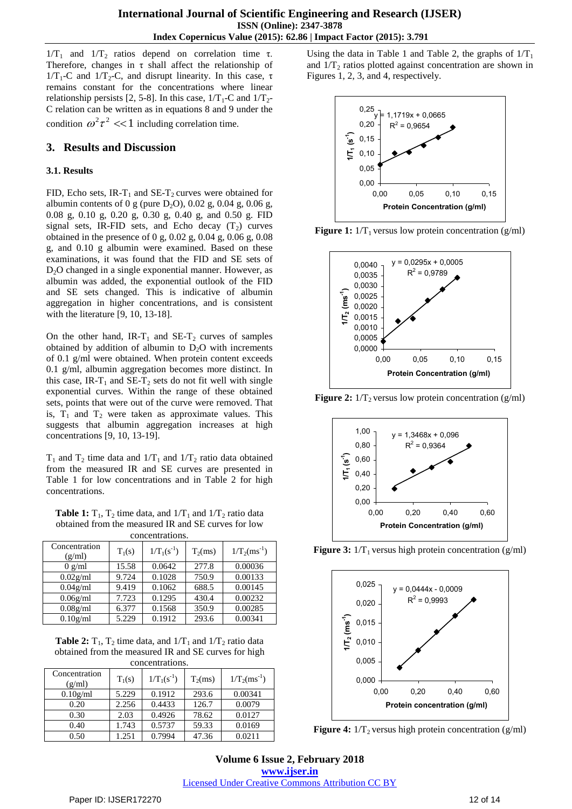$1/T_1$  and  $1/T_2$  ratios depend on correlation time τ. Therefore, changes in τ shall affect the relationship of  $1/T_1$ -C and  $1/T_2$ -C, and disrupt linearity. In this case, τ remains constant for the concentrations where linear relationship persists [2, 5-8]. In this case,  $1/T_1$ -C and  $1/T_2$ -C relation can be written as in equations 8 and 9 under the condition  $\omega^2 \tau^2 \ll 1$  including correlation time.

## **3. Results and Discussion**

#### **3.1. Results**

FID, Echo sets, IR-T<sub>1</sub> and SE-T<sub>2</sub> curves were obtained for albumin contents of 0 g (pure  $D_2O$ ), 0.02 g, 0.04 g, 0.06 g, 0.08 g, 0.10 g, 0.20 g, 0.30 g, 0.40 g, and 0.50 g. FID signal sets, IR-FID sets, and Echo decay  $(T_2)$  curves obtained in the presence of 0 g, 0.02 g, 0.04 g, 0.06 g, 0.08 g, and 0.10 g albumin were examined. Based on these examinations, it was found that the FID and SE sets of D<sub>2</sub>O changed in a single exponential manner. However, as albumin was added, the exponential outlook of the FID and SE sets changed. This is indicative of albumin aggregation in higher concentrations, and is consistent with the literature [9, 10, 13-18].

On the other hand, IR-T<sub>1</sub> and SE-T<sub>2</sub> curves of samples obtained by addition of albumin to  $D_2O$  with increments of 0.1 g/ml were obtained. When protein content exceeds 0.1 g/ml, albumin aggregation becomes more distinct. In this case, IR-T<sub>1</sub> and SE-T<sub>2</sub> sets do not fit well with single exponential curves. Within the range of these obtained sets, points that were out of the curve were removed. That is,  $T_1$  and  $T_2$  were taken as approximate values. This suggests that albumin aggregation increases at high concentrations [9, 10, 13-19].

 $T_1$  and  $T_2$  time data and  $1/T_1$  and  $1/T_2$  ratio data obtained from the measured IR and SE curves are presented in Table 1 for low concentrations and in Table 2 for high concentrations.

**Table 1:**  $T_1$ ,  $T_2$  time data, and  $1/T_1$  and  $1/T_2$  ratio data obtained from the measured IR and SE curves for low concentrations.

| Concentration<br>(g/ml)       | $T_1(s)$ | $1/T_1(s^{-1})$ | $T_2(ms)$ | $1/T_2(ms^{-1})$ |
|-------------------------------|----------|-----------------|-----------|------------------|
| $0 \frac{\text{g}}{\text{m}}$ | 15.58    | 0.0642          | 277.8     | 0.00036          |
| $0.02$ g/ml                   | 9.724    | 0.1028          | 750.9     | 0.00133          |
| $0.04$ g/ml                   | 9.419    | 0.1062          | 688.5     | 0.00145          |
| $0.06$ g/ml                   | 7.723    | 0.1295          | 430.4     | 0.00232          |
| 0.08g/ml                      | 6.377    | 0.1568          | 350.9     | 0.00285          |
| 0.10g/ml                      | 5.229    | 0.1912          | 293.6     | 0.00341          |

**Table 2:**  $T_1$ ,  $T_2$  time data, and  $1/T_1$  and  $1/T_2$  ratio data obtained from the measured IR and SE curves for high concentrations.

| Concentration<br>(g/ml) | $T_1(s)$ | $1/T_1(s^{-1})$ | $T_2(ms)$ | $1/T_2(ms^{-1})$ |
|-------------------------|----------|-----------------|-----------|------------------|
| 0.10g/ml                | 5.229    | 0.1912          | 293.6     | 0.00341          |
| 0.20                    | 2.256    | 0.4433          | 126.7     | 0.0079           |
| 0.30                    | 2.03     | 0.4926          | 78.62     | 0.0127           |
| 0.40                    | 1.743    | 0.5737          | 59.33     | 0.0169           |
| 0.50                    | 1.251    | 0.7994          | 47.36     | 0.0211           |

Using the data in Table 1 and Table 2, the graphs of  $1/T_1$ and  $1/T_2$  ratios plotted against concentration are shown in Figures 1, 2, 3, and 4, respectively.











**Figure 3:**  $1/T_1$  versus high protein concentration (g/ml)



**Figure 4:**  $1/T_2$  versus high protein concentration (g/ml)

**Volume 6 Issue 2, February 2018 <www.ijser.in>** [Licensed Under Creative Commons Attribution CC BY](http://creativecommons.org/licenses/by/4.0/)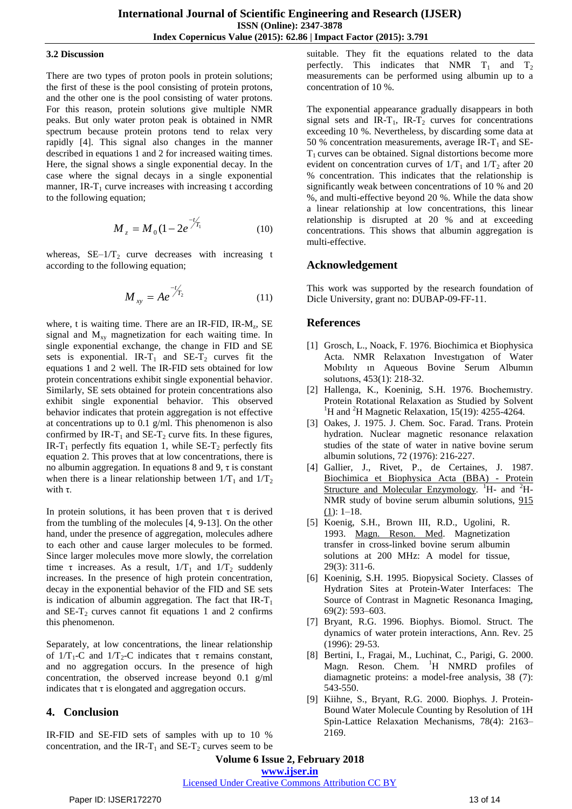#### **3.2 Discussion**

There are two types of proton pools in protein solutions; the first of these is the pool consisting of protein protons, and the other one is the pool consisting of water protons. For this reason, protein solutions give multiple NMR peaks. But only water proton peak is obtained in NMR spectrum because protein protons tend to relax very rapidly [4]. This signal also changes in the manner described in equations 1 and 2 for increased waiting times. Here, the signal shows a single exponential decay. In the case where the signal decays in a single exponential manner, IR- $T_1$  curve increases with increasing t according to the following equation;

$$
M_z = M_0 (1 - 2e^{-t/T_1}/T_1)
$$
 (10)

whereas,  $SE-1/T_2$  curve decreases with increasing t according to the following equation;

$$
M_{xy} = Ae^{-t/T_2}
$$
 (11)

where, t is waiting time. There are an IR-FID, IR-M<sub>z</sub>, SE signal and  $M_{xy}$  magnetization for each waiting time. In single exponential exchange, the change in FID and SE sets is exponential. IR-T<sub>1</sub> and SE-T<sub>2</sub> curves fit the equations 1 and 2 well. The IR-FID sets obtained for low protein concentrations exhibit single exponential behavior. Similarly, SE sets obtained for protein concentrations also exhibit single exponential behavior. This observed behavior indicates that protein aggregation is not effective at concentrations up to 0.1 g/ml. This phenomenon is also confirmed by IR-T<sub>1</sub> and SE-T<sub>2</sub> curve fits. In these figures, IR-T<sub>1</sub> perfectly fits equation 1, while  $SE-T_2$  perfectly fits equation 2. This proves that at low concentrations, there is no albumin aggregation. In equations 8 and 9, τ is constant when there is a linear relationship between  $1/T_1$  and  $1/T_2$ with τ.

In protein solutions, it has been proven that  $\tau$  is derived from the tumbling of the molecules [4, 9-13]. On the other hand, under the presence of aggregation, molecules adhere to each other and cause larger molecules to be formed. Since larger molecules move more slowly, the correlation time τ increases. As a result,  $1/T_1$  and  $1/T_2$  suddenly increases. In the presence of high protein concentration, decay in the exponential behavior of the FID and SE sets is indication of albumin aggregation. The fact that  $IR-T_1$ and  $SE-T_2$  curves cannot fit equations 1 and 2 confirms this phenomenon.

Separately, at low concentrations, the linear relationship of  $1/T_1$ -C and  $1/T_2$ -C indicates that  $\tau$  remains constant, and no aggregation occurs. In the presence of high concentration, the observed increase beyond 0.1 g/ml indicates that  $\tau$  is elongated and aggregation occurs.

## **4. Conclusion**

IR-FID and SE-FID sets of samples with up to 10 % concentration, and the IR-T<sub>1</sub> and SE-T<sub>2</sub> curves seem to be suitable. They fit the equations related to the data perfectly. This indicates that NMR  $T_1$  and  $T_2$ measurements can be performed using albumin up to a concentration of 10 %.

The exponential appearance gradually disappears in both signal sets and IR-T<sub>1</sub>, IR-T<sub>2</sub> curves for concentrations exceeding 10 %. Nevertheless, by discarding some data at 50 % concentration measurements, average IR- $T_1$  and SE- $T<sub>1</sub>$  curves can be obtained. Signal distortions become more evident on concentration curves of  $1/T_1$  and  $1/T_2$  after 20 % concentration. This indicates that the relationship is significantly weak between concentrations of 10 % and 20 %, and multi-effective beyond 20 %. While the data show a linear relationship at low concentrations, this linear relationship is disrupted at 20 % and at exceeding concentrations. This shows that albumin aggregation is multi-effective.

# **Acknowledgement**

This work was supported by the research foundation of Dicle University, grant no: DUBAP-09-FF-11.

# **References**

- [1] Grosch, L., Noack, F. 1976. Biochimica et Biophysica Acta. NMR Relaxatıon Investıgatıon of Water Mobılıty ın Aqueous Bovine Serum Albumın solutıons, 453(1): 218-32.
- [2] Hallenga, K., Koeninig, S.H. 1976. Bıochemıstry. Protein Rotational Relaxation as Studied by Solvent <sup>1</sup>H and <sup>2</sup>H Magnetic Relaxation, 15(19): 4255-4264.
- [3] Oakes, J. 1975. J. Chem. Soc. Farad. Trans. Protein hydration. Nuclear magnetic resonance relaxation studies of the state of water in native bovine serum albumin solutions, 72 (1976): 216-227.
- [4] Gallier, J., Rivet, P., de Certaines, J. 1987. [Biochimica](http://www.sciencedirect.com/science/journal/01674838) et Biophysica Acta (BBA) - Protein Structure and Molecular [Enzymology.](http://www.sciencedirect.com/science/journal/01674838) <sup>1</sup>H- and <sup>2</sup>H-NMR study of bovine serum albumin solutions, [915](http://www.sciencedirect.com/science/journal/01674838/915/1)  $(1): 1-18.$  $(1): 1-18.$
- [5] Koenig, S.H., Brown III, R.D., Ugolini, R. 1993. Magn. [Reson.](javascript:AL_get(this,%20) Med. Magnetization transfer in cross-linked bovine serum albumin solutions at 200 MHz: A model for tissue, 29(3): 311-6.
- [6] Koeninig, S.H. 1995. Biopysical Society. Classes of Hydration Sites at Protein-Water Interfaces: The Source of Contrast in Magnetic Resonanca Imaging, 69(2): 593–603.
- [7] Bryant, R.G. 1996. Biophys. Biomol. Struct. The dynamics of water protein interactions, Ann. Rev. 25 (1996): 29-53.
- [8] Bertini, I., Fragai, M., Luchinat, C., Parigi, G. 2000. Magn. Reson. Chem. <sup>1</sup>H NMRD profiles of diamagnetic proteins: a model-free analysis, 38 (7): 543-550.
- [9] Kiihne, S., Bryant, R.G. 2000. Biophys. J. Protein-Bound Water Molecule Counting by Resolution of 1H Spin-Lattice Relaxation Mechanisms, 78(4): 2163– 2169.

**Volume 6 Issue 2, February 2018**

**<www.ijser.in>**